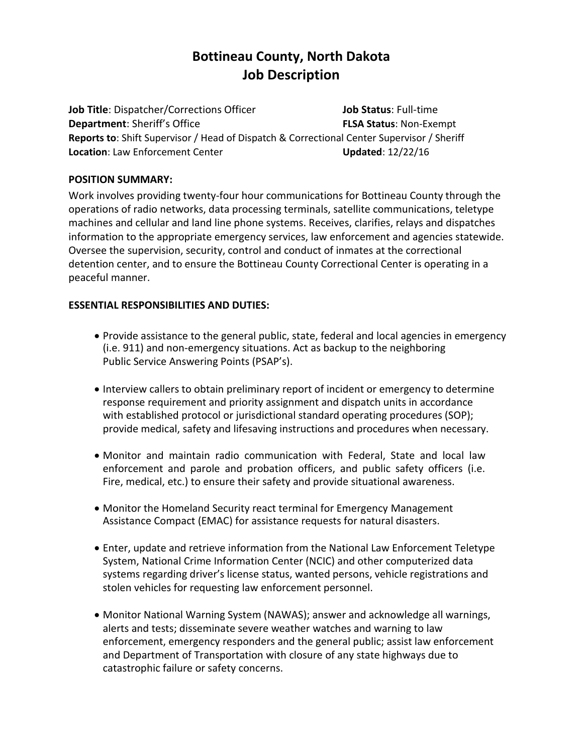# **Bottineau County, North Dakota Job Description**

**Job Title**: Dispatcher/Corrections Officer **Department**: Sheriff's Office **Job Status**: Full-time **FLSA Status**: Non-Exempt **Reports to**: Shift Supervisor / Head of Dispatch & Correctional Center Supervisor / Sheriff **Location**: Law Enforcement Center **Updated**: 12/22/16

#### **POSITION SUMMARY:**

Work involves providing twenty-four hour communications for Bottineau County through the operations of radio networks, data processing terminals, satellite communications, teletype machines and cellular and land line phone systems. Receives, clarifies, relays and dispatches information to the appropriate emergency services, law enforcement and agencies statewide. Oversee the supervision, security, control and conduct of inmates at the correctional detention center, and to ensure the Bottineau County Correctional Center is operating in a peaceful manner.

#### **ESSENTIAL RESPONSIBILITIES AND DUTIES:**

- Provide assistance to the general public, state, federal and local agencies in emergency (i.e. 911) and non-emergency situations. Act as backup to the neighboring Public Service Answering Points (PSAP's).
- Interview callers to obtain preliminary report of incident or emergency to determine response requirement and priority assignment and dispatch units in accordance with established protocol or jurisdictional standard operating procedures (SOP); provide medical, safety and lifesaving instructions and procedures when necessary.
- Monitor and maintain radio communication with Federal, State and local law enforcement and parole and probation officers, and public safety officers (i.e. Fire, medical, etc.) to ensure their safety and provide situational awareness.
- Monitor the Homeland Security react terminal for Emergency Management Assistance Compact (EMAC) for assistance requests for natural disasters.
- Enter, update and retrieve information from the National Law Enforcement Teletype System, National Crime Information Center (NCIC) and other computerized data systems regarding driver's license status, wanted persons, vehicle registrations and stolen vehicles for requesting law enforcement personnel.
- Monitor National Warning System (NAWAS); answer and acknowledge all warnings, alerts and tests; disseminate severe weather watches and warning to law enforcement, emergency responders and the general public; assist law enforcement and Department of Transportation with closure of any state highways due to catastrophic failure or safety concerns.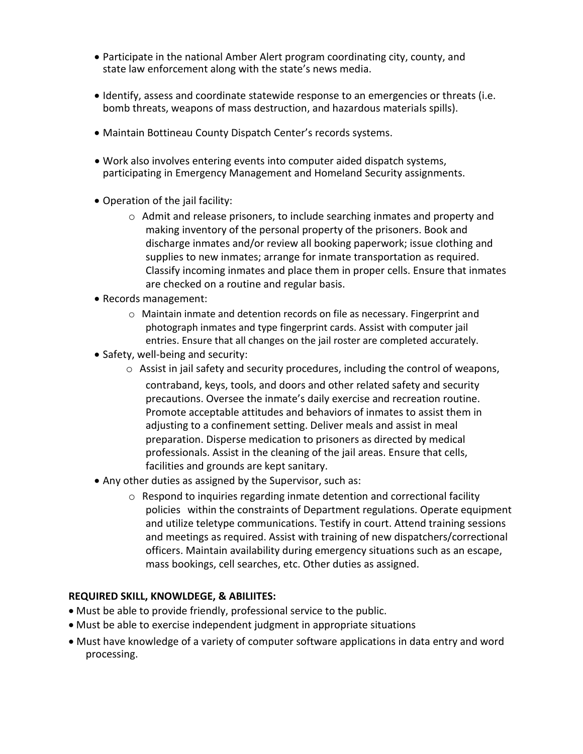- Participate in the national Amber Alert program coordinating city, county, and state law enforcement along with the state's news media.
- Identify, assess and coordinate statewide response to an emergencies or threats (i.e. bomb threats, weapons of mass destruction, and hazardous materials spills).
- Maintain Bottineau County Dispatch Center's records systems.
- Work also involves entering events into computer aided dispatch systems, participating in Emergency Management and Homeland Security assignments.
- Operation of the jail facility:
	- o Admit and release prisoners, to include searching inmates and property and making inventory of the personal property of the prisoners. Book and discharge inmates and/or review all booking paperwork; issue clothing and supplies to new inmates; arrange for inmate transportation as required. Classify incoming inmates and place them in proper cells. Ensure that inmates are checked on a routine and regular basis.
- Records management:
	- o Maintain inmate and detention records on file as necessary. Fingerprint and photograph inmates and type fingerprint cards. Assist with computer jail entries. Ensure that all changes on the jail roster are completed accurately.
- Safety, well-being and security:
	- $\circ$  Assist in jail safety and security procedures, including the control of weapons, contraband, keys, tools, and doors and other related safety and security precautions. Oversee the inmate's daily exercise and recreation routine. Promote acceptable attitudes and behaviors of inmates to assist them in adjusting to a confinement setting. Deliver meals and assist in meal preparation. Disperse medication to prisoners as directed by medical professionals. Assist in the cleaning of the jail areas. Ensure that cells, facilities and grounds are kept sanitary.
- Any other duties as assigned by the Supervisor, such as:
	- o Respond to inquiries regarding inmate detention and correctional facility policies within the constraints of Department regulations. Operate equipment and utilize teletype communications. Testify in court. Attend training sessions and meetings as required. Assist with training of new dispatchers/correctional officers. Maintain availability during emergency situations such as an escape, mass bookings, cell searches, etc. Other duties as assigned.

### **REQUIRED SKILL, KNOWLDEGE, & ABILIITES:**

- Must be able to provide friendly, professional service to the public.
- Must be able to exercise independent judgment in appropriate situations
- Must have knowledge of a variety of computer software applications in data entry and word processing.